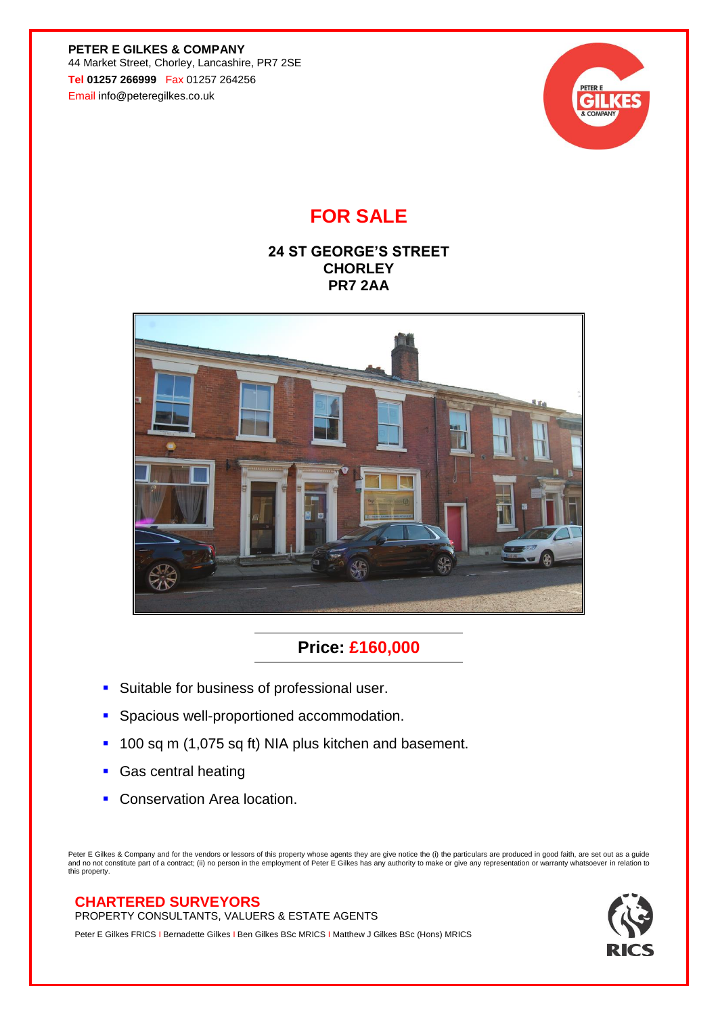**PETER E GILKES & COMPANY** 44 Market Street, Chorley, Lancashire, PR7 2SE **Tel 01257 266999** Fax 01257 264256 Email info@peteregilkes.co.uk



# **FOR SALE**

## **24 ST GEORGE'S STREET CHORLEY PR7 2AA**



## **Price: £160,000**

- **EXEC** Suitable for business of professional user.
- **·** Spacious well-proportioned accommodation.
- 100 sq m (1,075 sq ft) NIA plus kitchen and basement.
- **Gas central heating**
- **Conservation Area location.**

Peter E Gilkes & Company and for the vendors or lessors of this property whose agents they are give notice the (i) the particulars are produced in good faith, are set out as a guide<br>and no not constitute part of a contract this property.

## **CHARTERED SURVEYORS**

PROPERTY CONSULTANTS, VALUERS & ESTATE AGENTS

Peter E Gilkes FRICS I Bernadette Gilkes I Ben Gilkes BSc MRICS I Matthew J Gilkes BSc (Hons) MRICS

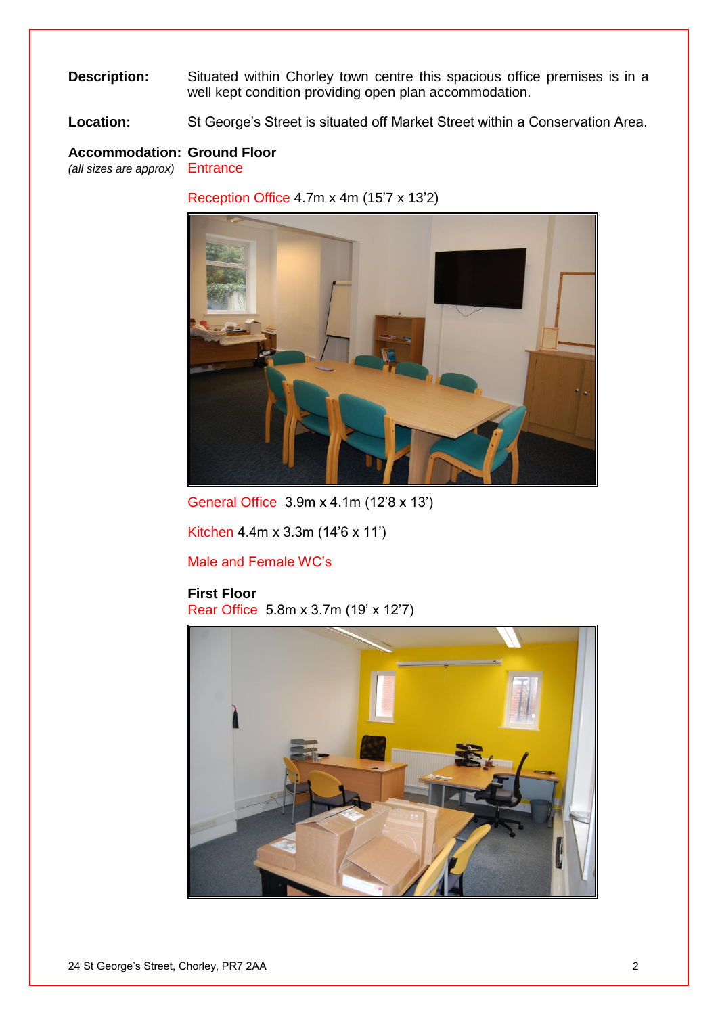#### **Description:** Situated within Chorley town centre this spacious office premises is in a well kept condition providing open plan accommodation.

**Location:** St George's Street is situated off Market Street within a Conservation Area.

## **Accommodation: Ground Floor**

*(all sizes are approx)* Entrance

Reception Office 4.7m x 4m (15'7 x 13'2)



General Office 3.9m x 4.1m (12'8 x 13')

Kitchen 4.4m x 3.3m (14'6 x 11')

Male and Female WC's

#### **First Floor**

Rear Office 5.8m x 3.7m (19' x 12'7)